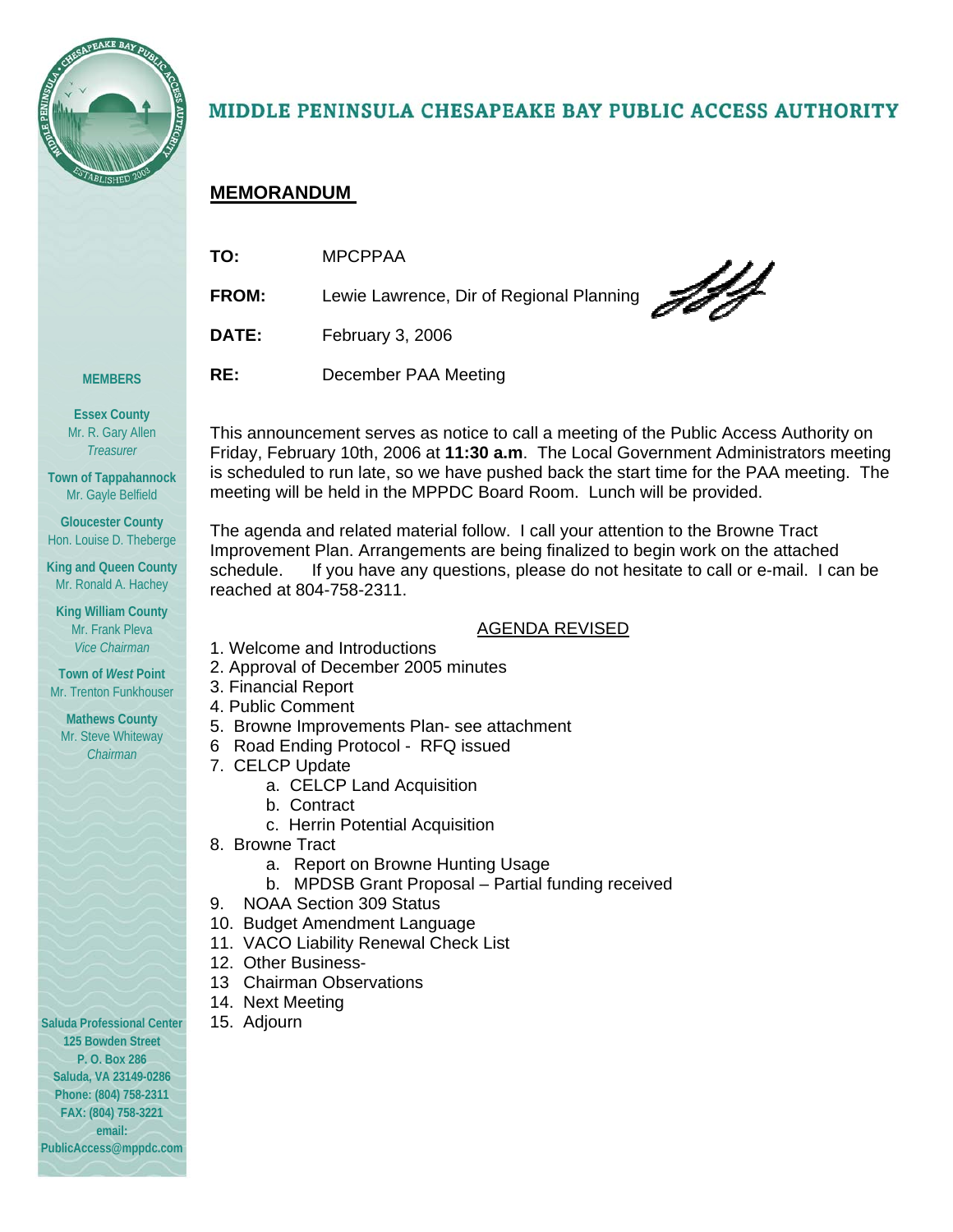

# MIDDLE PENINSULA CHESAPEAKE BAY PUBLIC ACCESS AUTHORITY

## **MEMORANDUM**

| TO:          | <b>MPCPPAA</b>                           |
|--------------|------------------------------------------|
| <b>FROM:</b> | Lewie Lawrence, Dir of Regional Planning |
| <b>DATE:</b> | February 3, 2006                         |
| RE:          | December PAA Meeting                     |

**Essex County**  Mr. R. Gary Allen *Treasurer* 

**MEMBERS** 

**Town of Tappahannock**  Mr. Gayle Belfield

**Gloucester County**  Hon. Louise D. Theberge

**King and Queen County**  Mr. Ronald A. Hachey

**King William County**  Mr. Frank Pleva *Vice Chairman* 

**Town of** *West* **Point**  Mr. Trenton Funkhouser

**Mathews County**  Mr. Steve Whiteway *Chairman* 

**Saluda Professional Center 125 Bowden Street P. O. Box 286 Saluda, VA 23149-0286 Phone: (804) 758-2311 FAX: (804) 758-3221 email: PublicAccess@mppdc.com** 

This announcement serves as notice to call a meeting of the Public Access Authority on Friday, February 10th, 2006 at **11:30 a.m**. The Local Government Administrators meeting is scheduled to run late, so we have pushed back the start time for the PAA meeting. The meeting will be held in the MPPDC Board Room. Lunch will be provided.

The agenda and related material follow. I call your attention to the Browne Tract Improvement Plan. Arrangements are being finalized to begin work on the attached schedule. If you have any questions, please do not hesitate to call or e-mail. I can be reached at 804-758-2311.

## AGENDA REVISED

- 1. Welcome and Introductions
- 2. Approval of December 2005 minutes
- 3. Financial Report
- 4. Public Comment
- 5. Browne Improvements Plan- see attachment
- 6 Road Ending Protocol RFQ issued
- 7. CELCP Update
	- a. CELCP Land Acquisition
		- b. Contract
	- c. Herrin Potential Acquisition
- 8. Browne Tract
	- a. Report on Browne Hunting Usage
	- b. MPDSB Grant Proposal Partial funding received
- 9. NOAA Section 309 Status
- 10. Budget Amendment Language
- 11. VACO Liability Renewal Check List
- 12. Other Business-
- 13 Chairman Observations
- 14. Next Meeting
- 15. Adjourn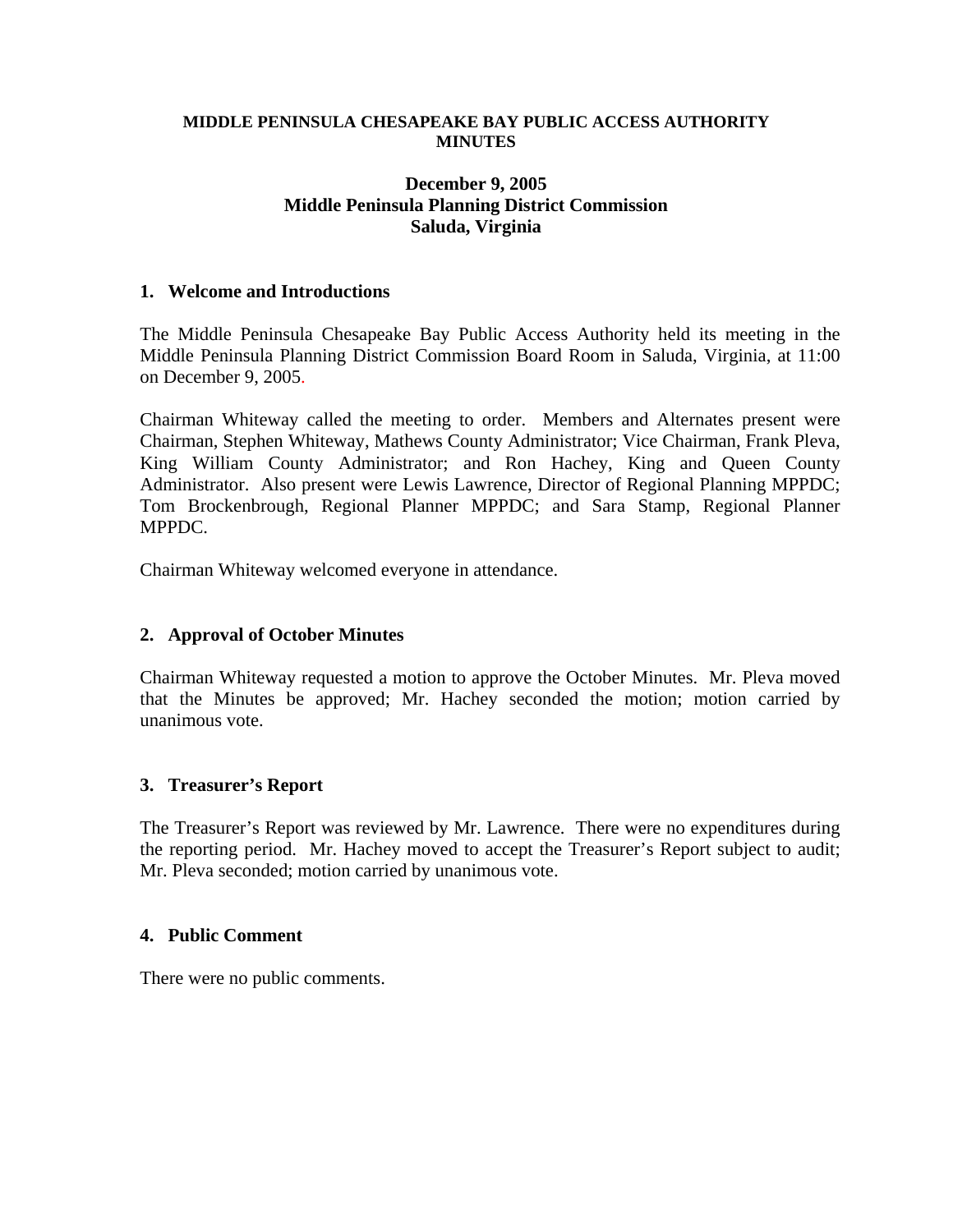#### **MIDDLE PENINSULA CHESAPEAKE BAY PUBLIC ACCESS AUTHORITY MINUTES**

#### **December 9, 2005 Middle Peninsula Planning District Commission Saluda, Virginia**

#### **1. Welcome and Introductions**

The Middle Peninsula Chesapeake Bay Public Access Authority held its meeting in the Middle Peninsula Planning District Commission Board Room in Saluda, Virginia, at 11:00 on December 9, 2005.

Chairman Whiteway called the meeting to order. Members and Alternates present were Chairman, Stephen Whiteway, Mathews County Administrator; Vice Chairman, Frank Pleva, King William County Administrator; and Ron Hachey, King and Queen County Administrator. Also present were Lewis Lawrence, Director of Regional Planning MPPDC; Tom Brockenbrough, Regional Planner MPPDC; and Sara Stamp, Regional Planner MPPDC.

Chairman Whiteway welcomed everyone in attendance.

#### **2. Approval of October Minutes**

Chairman Whiteway requested a motion to approve the October Minutes. Mr. Pleva moved that the Minutes be approved; Mr. Hachey seconded the motion; motion carried by unanimous vote.

#### **3. Treasurer's Report**

The Treasurer's Report was reviewed by Mr. Lawrence. There were no expenditures during the reporting period. Mr. Hachey moved to accept the Treasurer's Report subject to audit; Mr. Pleva seconded; motion carried by unanimous vote.

#### **4. Public Comment**

There were no public comments.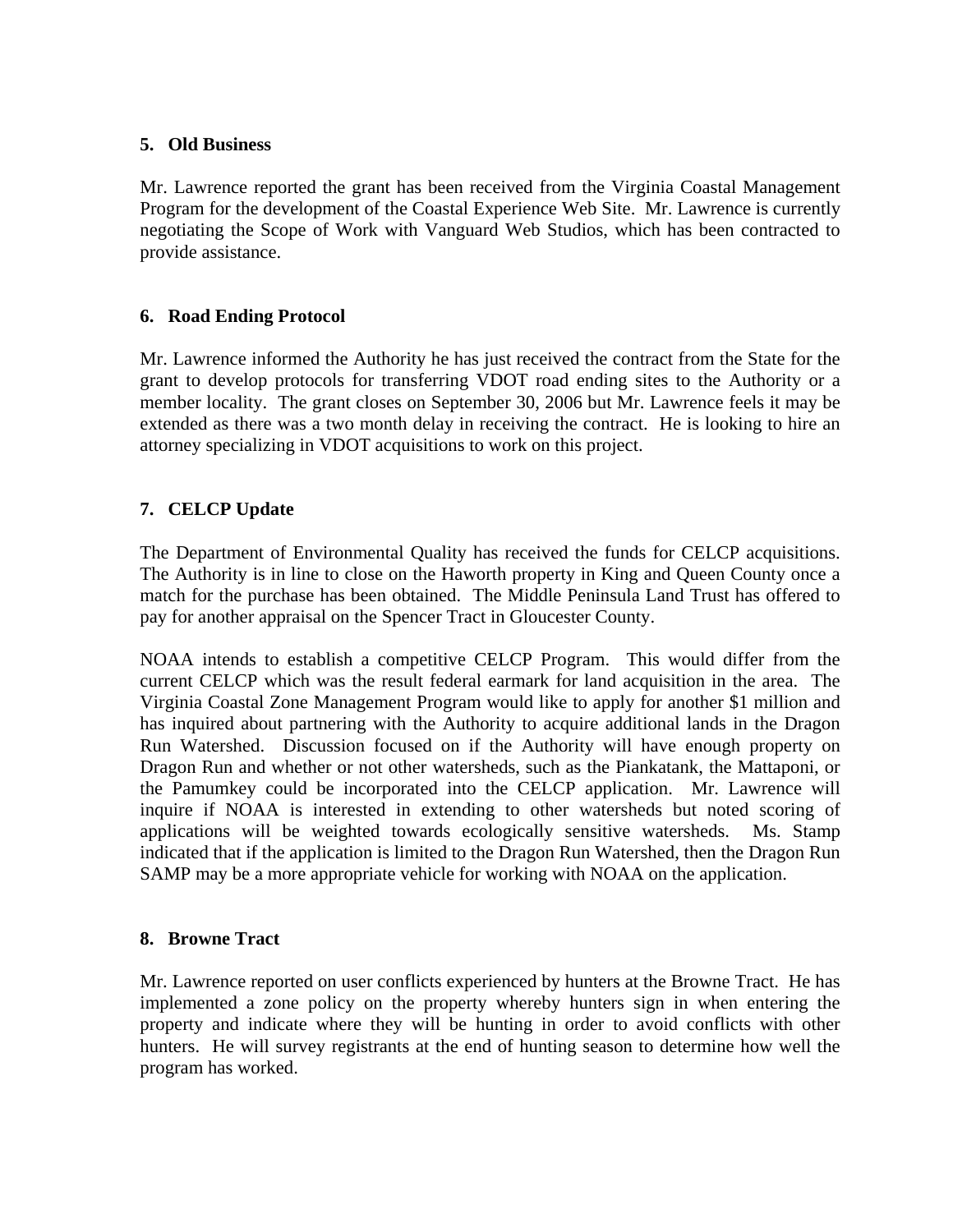#### **5. Old Business**

Mr. Lawrence reported the grant has been received from the Virginia Coastal Management Program for the development of the Coastal Experience Web Site. Mr. Lawrence is currently negotiating the Scope of Work with Vanguard Web Studios, which has been contracted to provide assistance.

## **6. Road Ending Protocol**

Mr. Lawrence informed the Authority he has just received the contract from the State for the grant to develop protocols for transferring VDOT road ending sites to the Authority or a member locality. The grant closes on September 30, 2006 but Mr. Lawrence feels it may be extended as there was a two month delay in receiving the contract. He is looking to hire an attorney specializing in VDOT acquisitions to work on this project.

## **7. CELCP Update**

The Department of Environmental Quality has received the funds for CELCP acquisitions. The Authority is in line to close on the Haworth property in King and Queen County once a match for the purchase has been obtained. The Middle Peninsula Land Trust has offered to pay for another appraisal on the Spencer Tract in Gloucester County.

NOAA intends to establish a competitive CELCP Program. This would differ from the current CELCP which was the result federal earmark for land acquisition in the area. The Virginia Coastal Zone Management Program would like to apply for another \$1 million and has inquired about partnering with the Authority to acquire additional lands in the Dragon Run Watershed. Discussion focused on if the Authority will have enough property on Dragon Run and whether or not other watersheds, such as the Piankatank, the Mattaponi, or the Pamumkey could be incorporated into the CELCP application. Mr. Lawrence will inquire if NOAA is interested in extending to other watersheds but noted scoring of applications will be weighted towards ecologically sensitive watersheds. Ms. Stamp indicated that if the application is limited to the Dragon Run Watershed, then the Dragon Run SAMP may be a more appropriate vehicle for working with NOAA on the application.

## **8. Browne Tract**

Mr. Lawrence reported on user conflicts experienced by hunters at the Browne Tract. He has implemented a zone policy on the property whereby hunters sign in when entering the property and indicate where they will be hunting in order to avoid conflicts with other hunters. He will survey registrants at the end of hunting season to determine how well the program has worked.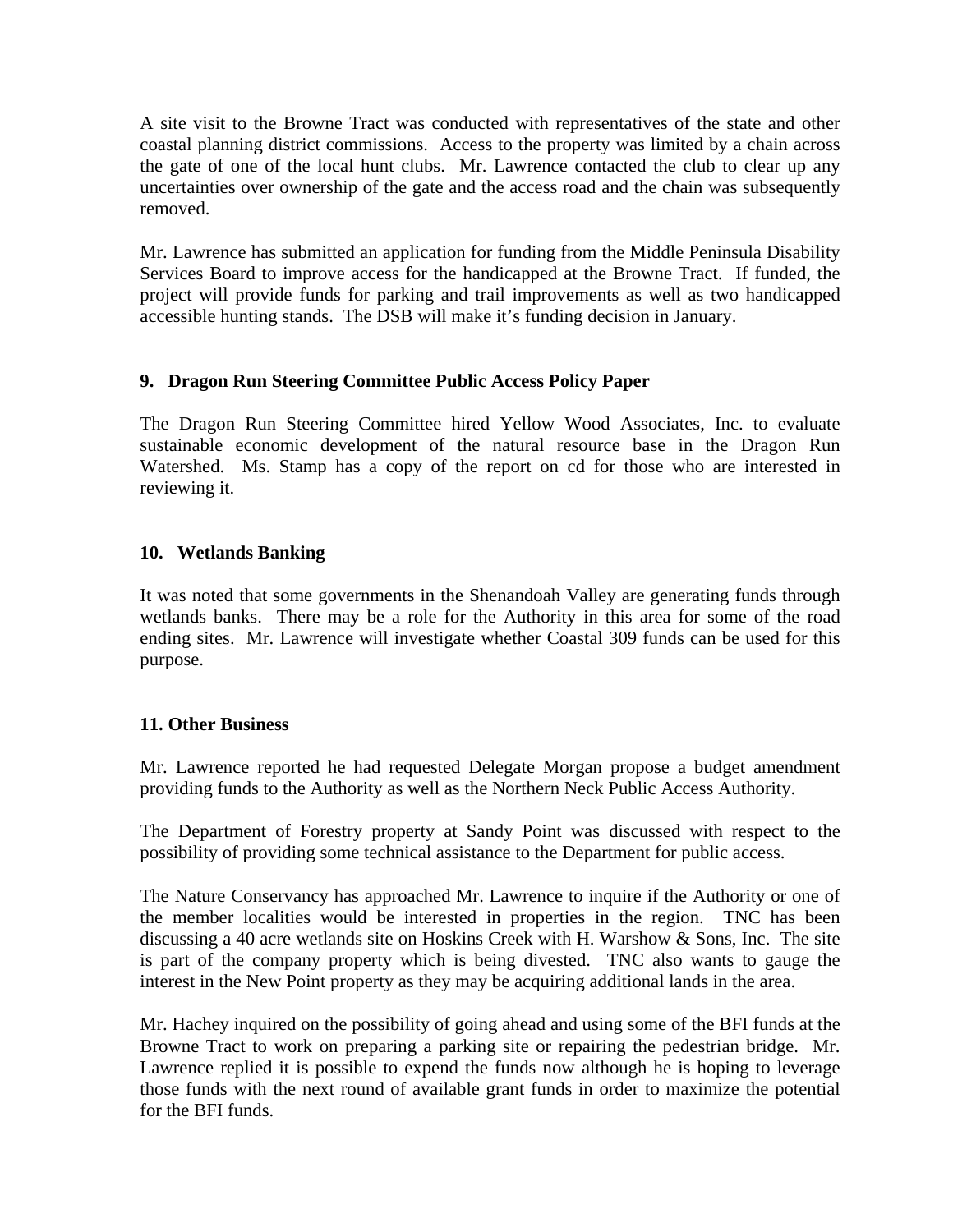A site visit to the Browne Tract was conducted with representatives of the state and other coastal planning district commissions. Access to the property was limited by a chain across the gate of one of the local hunt clubs. Mr. Lawrence contacted the club to clear up any uncertainties over ownership of the gate and the access road and the chain was subsequently removed.

Mr. Lawrence has submitted an application for funding from the Middle Peninsula Disability Services Board to improve access for the handicapped at the Browne Tract. If funded, the project will provide funds for parking and trail improvements as well as two handicapped accessible hunting stands. The DSB will make it's funding decision in January.

## **9. Dragon Run Steering Committee Public Access Policy Paper**

The Dragon Run Steering Committee hired Yellow Wood Associates, Inc. to evaluate sustainable economic development of the natural resource base in the Dragon Run Watershed. Ms. Stamp has a copy of the report on cd for those who are interested in reviewing it.

#### **10. Wetlands Banking**

It was noted that some governments in the Shenandoah Valley are generating funds through wetlands banks. There may be a role for the Authority in this area for some of the road ending sites. Mr. Lawrence will investigate whether Coastal 309 funds can be used for this purpose.

#### **11. Other Business**

Mr. Lawrence reported he had requested Delegate Morgan propose a budget amendment providing funds to the Authority as well as the Northern Neck Public Access Authority.

The Department of Forestry property at Sandy Point was discussed with respect to the possibility of providing some technical assistance to the Department for public access.

The Nature Conservancy has approached Mr. Lawrence to inquire if the Authority or one of the member localities would be interested in properties in the region. TNC has been discussing a 40 acre wetlands site on Hoskins Creek with H. Warshow & Sons, Inc. The site is part of the company property which is being divested. TNC also wants to gauge the interest in the New Point property as they may be acquiring additional lands in the area.

Mr. Hachey inquired on the possibility of going ahead and using some of the BFI funds at the Browne Tract to work on preparing a parking site or repairing the pedestrian bridge. Mr. Lawrence replied it is possible to expend the funds now although he is hoping to leverage those funds with the next round of available grant funds in order to maximize the potential for the BFI funds.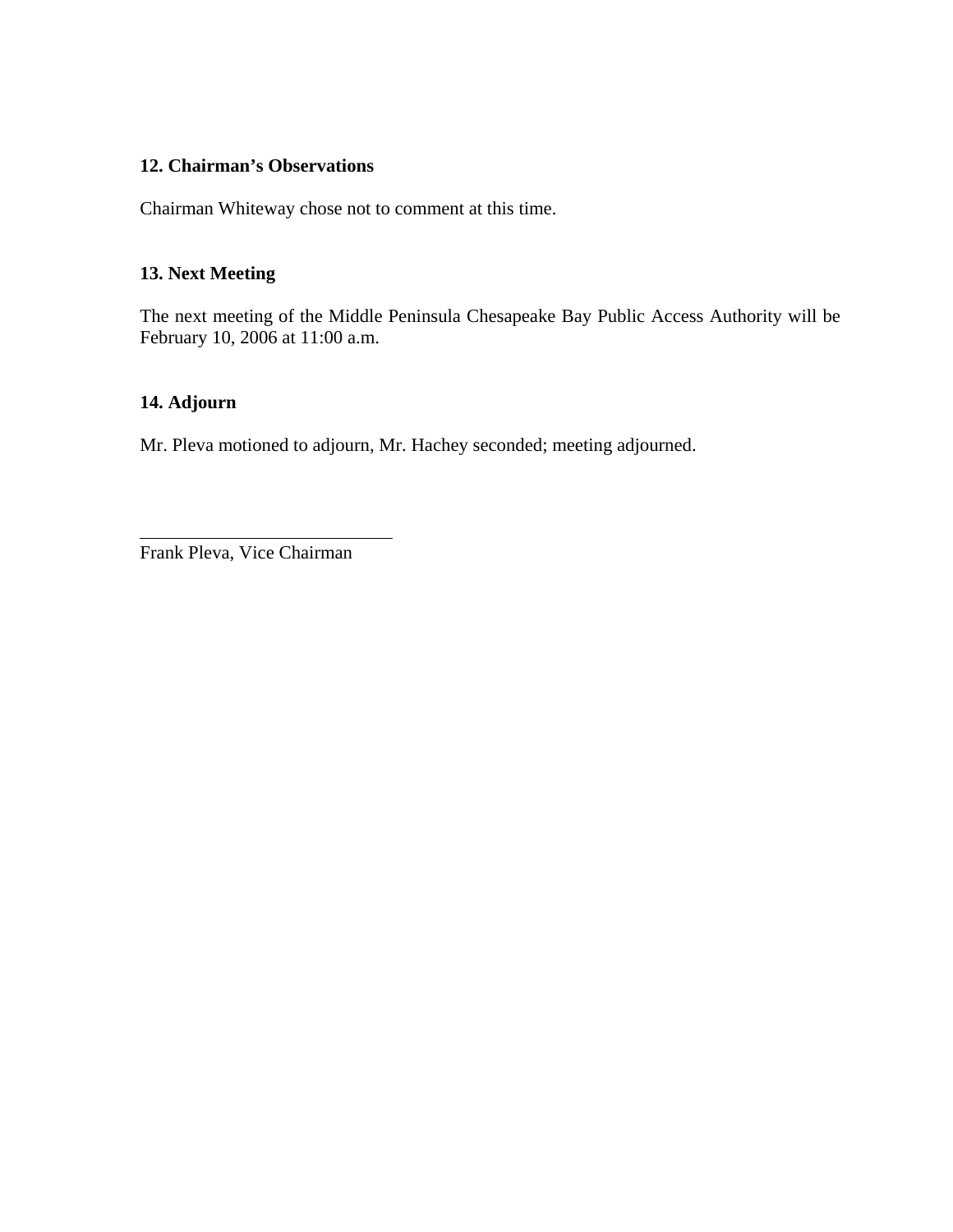#### **12. Chairman's Observations**

Chairman Whiteway chose not to comment at this time.

#### **13. Next Meeting**

The next meeting of the Middle Peninsula Chesapeake Bay Public Access Authority will be February 10, 2006 at 11:00 a.m.

## **14. Adjourn**

Mr. Pleva motioned to adjourn, Mr. Hachey seconded; meeting adjourned.

Frank Pleva, Vice Chairman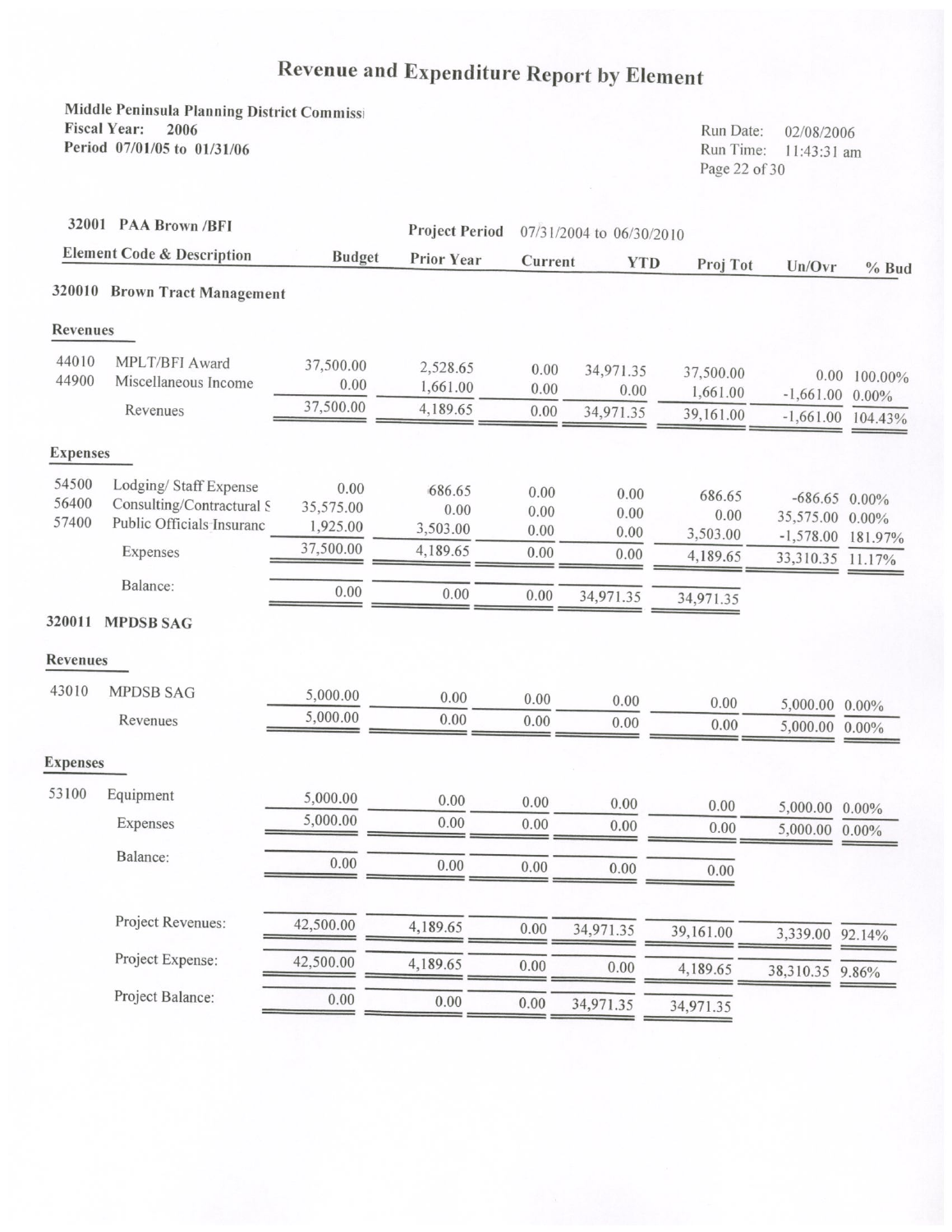# Revenue and Expenditure Report by Element

Middle Peninsula Planning District Commissi Fiscal Year: 2006 Period 07/01/05 to 01/31/06

Run Date: 02/08/2006 Run Time: 11:43:31 am Page 22 of 30

| 32001 PAA Brown /BFI<br><b>Element Code &amp; Description</b> |                                                                                 |                               | <b>Project Period</b><br>Prior Year | 07/31/2004 to 06/30/2010 |                      |                            |                                                   |                     |
|---------------------------------------------------------------|---------------------------------------------------------------------------------|-------------------------------|-------------------------------------|--------------------------|----------------------|----------------------------|---------------------------------------------------|---------------------|
|                                                               |                                                                                 | <b>Budget</b>                 |                                     | Current                  | <b>YTD</b>           | Proj Tot                   | Un/Ovr                                            | $%$ Bud             |
|                                                               | 320010 Brown Tract Management                                                   |                               |                                     |                          |                      |                            |                                                   |                     |
| <b>Revenues</b>                                               |                                                                                 |                               |                                     |                          |                      |                            |                                                   |                     |
| 44010<br>44900                                                | MPLT/BFI Award<br>Miscellaneous Income                                          | 37,500.00<br>0.00             | 2,528.65<br>1,661.00                | 0.00<br>0.00             | 34,971.35<br>0.00    | 37,500.00<br>1,661.00      | 0.00<br>$-1,661.00$                               | 100.00%<br>$0.00\%$ |
|                                                               | Revenues                                                                        | 37,500.00                     | 4,189.65                            | 0.00                     | 34,971.35            | 39,161.00                  | $-1,661.00$                                       | 104.43%             |
| <b>Expenses</b>                                               |                                                                                 |                               |                                     |                          |                      |                            |                                                   |                     |
| 54500<br>56400<br>57400                                       | Lodging/Staff Expense<br>Consulting/Contractural S<br>Public Officials Insuranc | 0.00<br>35,575.00<br>1,925.00 | 686.65<br>0.00<br>3,503.00          | 0.00<br>0.00<br>0.00     | 0.00<br>0.00<br>0.00 | 686.65<br>0.00<br>3,503.00 | $-686.65$ 0.00%<br>35,575.00 0.00%<br>$-1,578.00$ | 181.97%             |
|                                                               | Expenses                                                                        | 37,500.00                     | 4,189.65                            | 0.00                     | 0.00                 | 4,189.65                   | 33,310.35                                         | 11.17%              |
|                                                               | Balance:                                                                        | 0.00                          | 0.00                                | 0.00                     | 34,971.35            | 34,971.35                  |                                                   |                     |
|                                                               | 320011 MPDSB SAG                                                                |                               |                                     |                          |                      |                            |                                                   |                     |
| <b>Revenues</b>                                               |                                                                                 |                               |                                     |                          |                      |                            |                                                   |                     |
| 43010                                                         | <b>MPDSB SAG</b>                                                                | 5,000.00                      | 0.00                                | 0.00                     | 0.00                 | 0.00                       | 5,000.00 0.00%                                    |                     |
|                                                               | Revenues                                                                        | 5,000.00                      | 0.00                                | 0.00                     | 0.00                 | 0.00                       | 5,000.00                                          | $0.00\%$            |
| <b>Expenses</b>                                               |                                                                                 |                               |                                     |                          |                      |                            |                                                   |                     |
| 53100                                                         | Equipment                                                                       | 5,000.00                      | 0.00                                | 0.00                     | 0.00                 | 0.00                       | 5,000.00 0.00%                                    |                     |
|                                                               | Expenses                                                                        | 5,000.00                      | 0.00                                | 0.00                     | 0.00                 | 0.00                       | 5,000.00 0.00%                                    |                     |
|                                                               | Balance:                                                                        | 0.00                          | 0.00                                | 0.00                     | 0.00                 | 0.00                       |                                                   |                     |
|                                                               | Project Revenues:                                                               | 42,500.00                     | 4,189.65                            | 0.00                     | 34,971.35            | 39,161.00                  | 3,339.00                                          | 92.14%              |
|                                                               | Project Expense:                                                                | 42,500.00                     | 4,189.65                            | 0.00                     | 0.00                 | 4,189.65                   | 38,310.35 9.86%                                   |                     |
|                                                               | Project Balance:                                                                | 0.00                          | 0.00                                | 0.00                     | 34,971.35            | 34,971.35                  |                                                   |                     |
|                                                               |                                                                                 |                               |                                     |                          |                      |                            |                                                   |                     |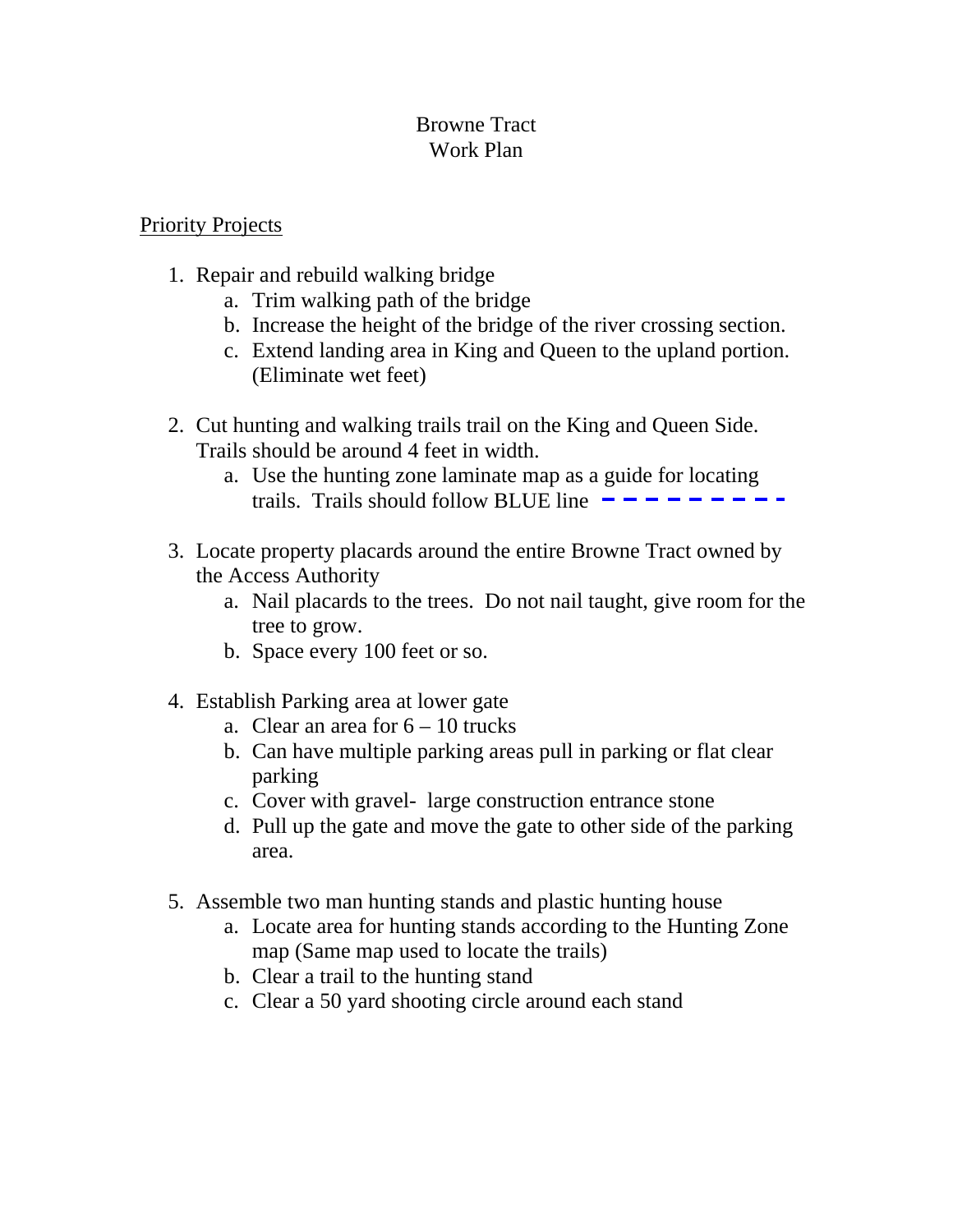# Browne Tract Work Plan

# Priority Projects

- 1. Repair and rebuild walking bridge
	- a. Trim walking path of the bridge
	- b. Increase the height of the bridge of the river crossing section.
	- c. Extend landing area in King and Queen to the upland portion. (Eliminate wet feet)
- 2. Cut hunting and walking trails trail on the King and Queen Side. Trails should be around 4 feet in width.
	- a. Use the hunting zone laminate map as a guide for locating trails. Trails should follow BLUE line
- 3. Locate property placards around the entire Browne Tract owned by the Access Authority
	- a. Nail placards to the trees. Do not nail taught, give room for the tree to grow.
	- b. Space every 100 feet or so.
- 4. Establish Parking area at lower gate
	- a. Clear an area for  $6 10$  trucks
	- b. Can have multiple parking areas pull in parking or flat clear parking
	- c. Cover with gravel- large construction entrance stone
	- d. Pull up the gate and move the gate to other side of the parking area.
- 5. Assemble two man hunting stands and plastic hunting house
	- a. Locate area for hunting stands according to the Hunting Zone map (Same map used to locate the trails)
	- b. Clear a trail to the hunting stand
	- c. Clear a 50 yard shooting circle around each stand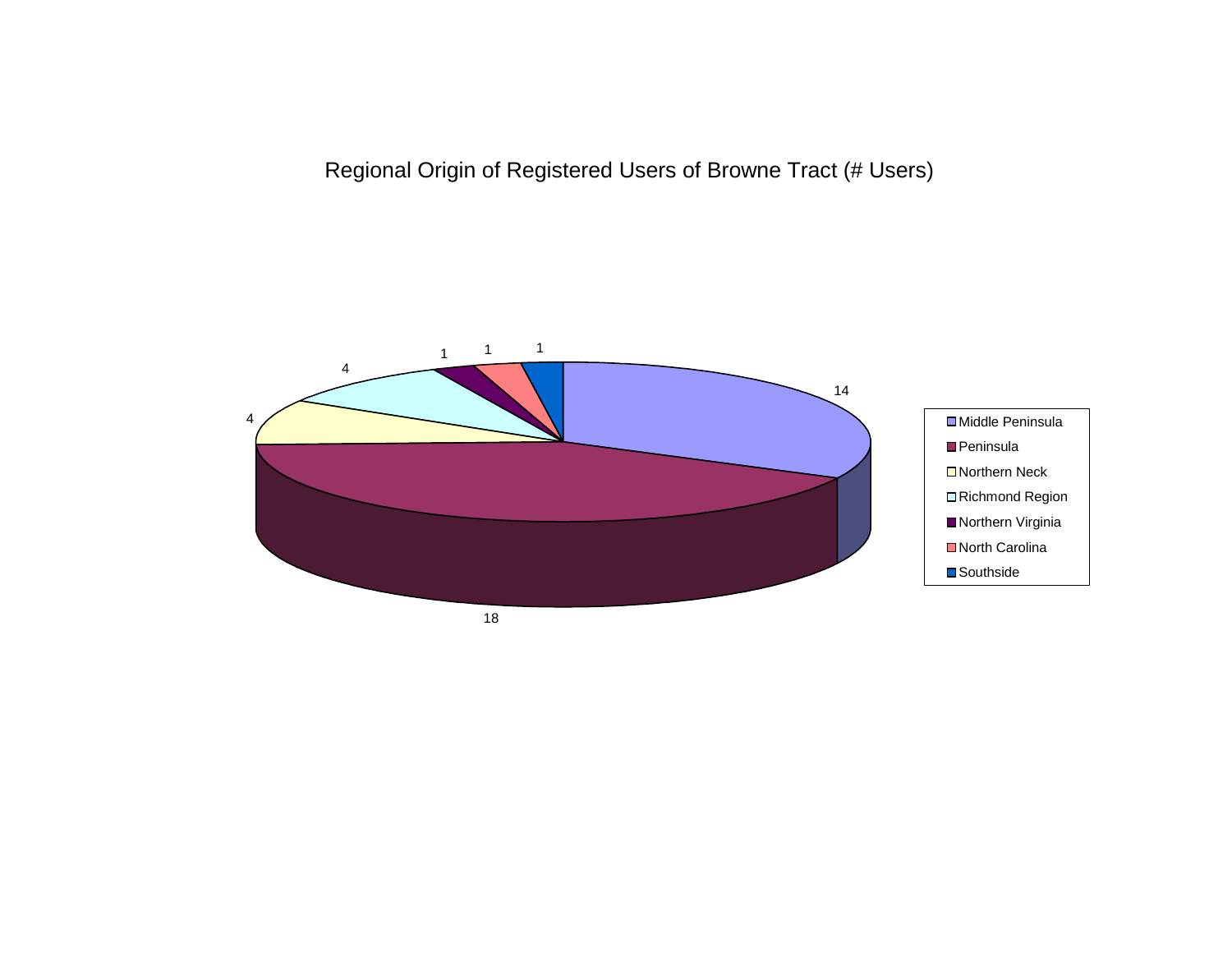Regional Origin of Registered Users of Browne Tract (# Users)



18